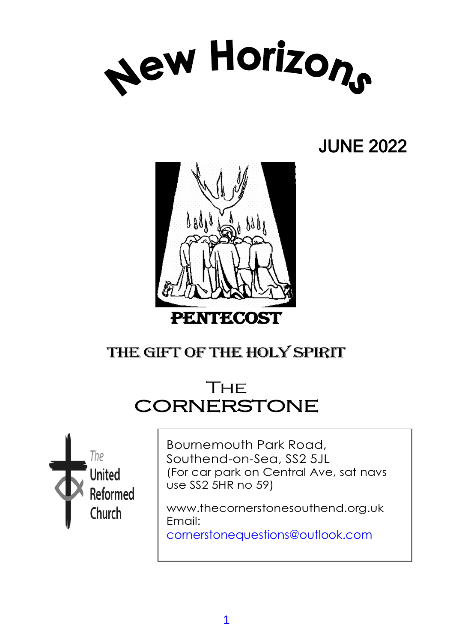

## JUNE 2022



## THE GIFT OF THE HOLY SPIRIT

## **THE CORNERSTONE**



Bournemouth Park Road, Southend-on-Sea, SS2 5JL (For car park on Central Ave, sat navs use SS2 5HR no 59)

www.thecornerstonesouthend.org.uk Email:

cornerstonequestions@outlook.com

*Minister:* Rev. SOHAIL EJAZ MA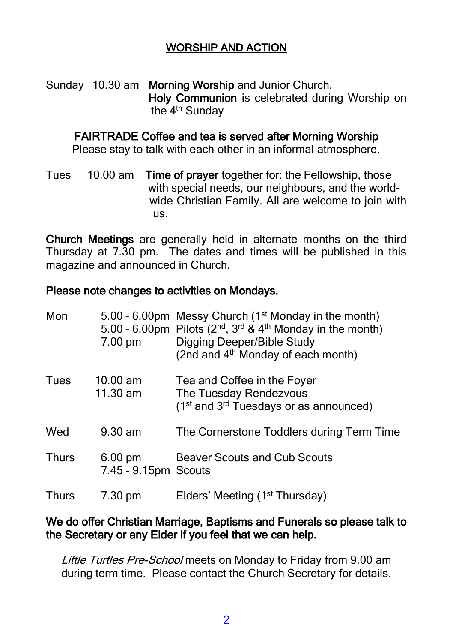#### WORSHIP AND ACTION

Sunday 10.30 am Morning Worship and Junior Church. Holy Communion is celebrated during Worship on the 4<sup>th</sup> Sunday

#### FAIRTRADE Coffee and tea is served after Morning Worship

Please stay to talk with each other in an informal atmosphere.

Tues 10.00 am Time of prayer together for: the Fellowship, those with special needs, our neighbours, and the world wide Christian Family. All are welcome to join with us.

Church Meetings are generally held in alternate months on the third Thursday at 7.30 pm. The dates and times will be published in this magazine and announced in Church.

#### Please note changes to activities on Mondays.

| Mon          | $7.00 \text{ pm}$                         | 5.00 - 6.00pm Messy Church (1 <sup>st</sup> Monday in the month)<br>5.00 - 6.00pm Pilots ( $2^{nd}$ , $3^{rd}$ & $4^{th}$ Monday in the month)<br>Digging Deeper/Bible Study<br>(2nd and 4 <sup>th</sup> Monday of each month) |
|--------------|-------------------------------------------|--------------------------------------------------------------------------------------------------------------------------------------------------------------------------------------------------------------------------------|
| Tues         | $10.00 \text{ am}$<br>11.30 am            | Tea and Coffee in the Foyer<br>The Tuesday Rendezvous<br>(1 <sup>st</sup> and 3 <sup>rd</sup> Tuesdays or as announced)                                                                                                        |
| Wed          | $9.30 \text{ am}$                         | The Cornerstone Toddlers during Term Time                                                                                                                                                                                      |
| <b>Thurs</b> | $6.00 \text{ pm}$<br>7.45 - 9.15pm Scouts | <b>Beaver Scouts and Cub Scouts</b>                                                                                                                                                                                            |
| <b>Thurs</b> | 7.30 pm                                   | Elders' Meeting (1 <sup>st</sup> Thursday)                                                                                                                                                                                     |

#### We do offer Christian Marriage, Baptisms and Funerals so please talk to the Secretary or any Elder if you feel that we can help.

Little Turtles Pre-School meets on Monday to Friday from 9.00 am during term time. Please contact the Church Secretary for details.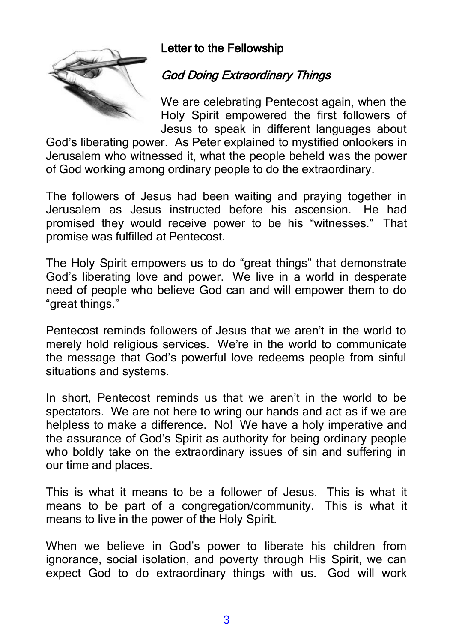#### Letter to the Fellowship



#### God Doing Extraordinary Things

We are celebrating Pentecost again, when the Holy Spirit empowered the first followers of Jesus to speak in different languages about

God's liberating power. As Peter explained to mystified onlookers in Jerusalem who witnessed it, what the people beheld was the power of God working among ordinary people to do the extraordinary.

The followers of Jesus had been waiting and praying together in Jerusalem as Jesus instructed before his ascension. He had promised they would receive power to be his "witnesses." That promise was fulfilled at Pentecost.

The Holy Spirit empowers us to do "great things" that demonstrate God's liberating love and power. We live in a world in desperate need of people who believe God can and will empower them to do "great things."

Pentecost reminds followers of Jesus that we aren't in the world to merely hold religious services. We're in the world to communicate the message that God's powerful love redeems people from sinful situations and systems.

In short, Pentecost reminds us that we aren't in the world to be spectators. We are not here to wring our hands and act as if we are helpless to make a difference. No! We have a holy imperative and the assurance of God's Spirit as authority for being ordinary people who boldly take on the extraordinary issues of sin and suffering in our time and places.

This is what it means to be a follower of Jesus. This is what it means to be part of a congregation/community. This is what it means to live in the power of the Holy Spirit.

When we believe in God's power to liberate his children from ignorance, social isolation, and poverty through His Spirit, we can expect God to do extraordinary things with us. God will work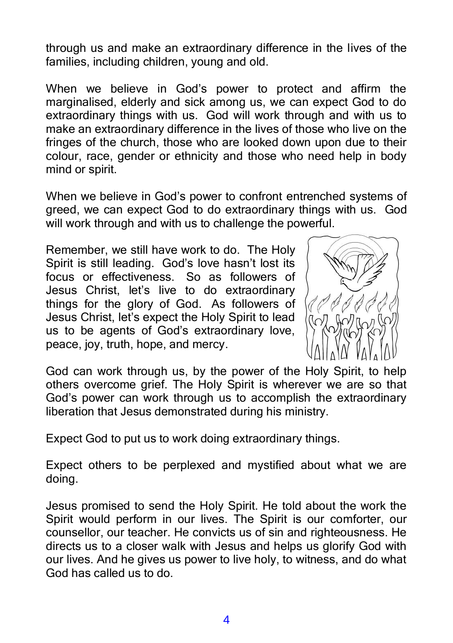through us and make an extraordinary difference in the lives of the families, including children, young and old.

When we believe in God's power to protect and affirm the marginalised, elderly and sick among us, we can expect God to do extraordinary things with us. God will work through and with us to make an extraordinary difference in the lives of those who live on the fringes of the church, those who are looked down upon due to their colour, race, gender or ethnicity and those who need help in body mind or spirit.

When we believe in God's power to confront entrenched systems of greed, we can expect God to do extraordinary things with us. God will work through and with us to challenge the powerful.

Remember, we still have work to do. The Holy Spirit is still leading. God's love hasn't lost its focus or effectiveness. So as followers of Jesus Christ, let's live to do extraordinary things for the glory of God. As followers of Jesus Christ, let's expect the Holy Spirit to lead us to be agents of God's extraordinary love, peace, joy, truth, hope, and mercy.



God can work through us, by the power of the Holy Spirit, to help others overcome grief. The Holy Spirit is wherever we are so that God's power can work through us to accomplish the extraordinary liberation that Jesus demonstrated during his ministry.

Expect God to put us to work doing extraordinary things.

Expect others to be perplexed and mystified about what we are doing.

Jesus promised to send the Holy Spirit. He told about the work the Spirit would perform in our lives. The Spirit is our comforter, our counsellor, our teacher. He convicts us of sin and righteousness. He directs us to a closer walk with Jesus and helps us glorify God with our lives. And he gives us power to live holy, to witness, and do what God has called us to do.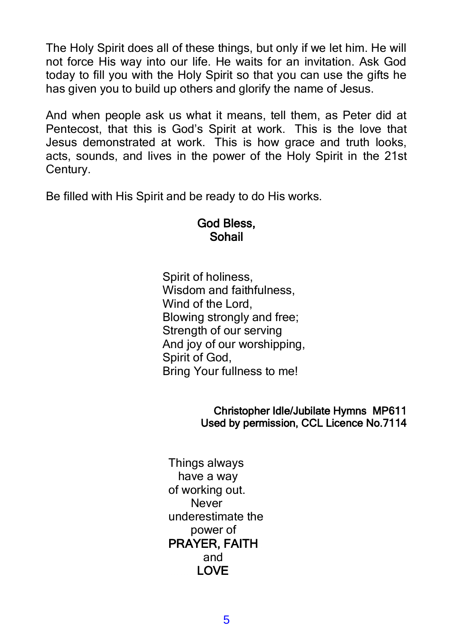The Holy Spirit does all of these things, but only if we let him. He will not force His way into our life. He waits for an invitation. Ask God today to fill you with the Holy Spirit so that you can use the gifts he has given you to build up others and glorify the name of Jesus.

And when people ask us what it means, tell them, as Peter did at Pentecost, that this is God's Spirit at work. This is the love that Jesus demonstrated at work. This is how grace and truth looks, acts, sounds, and lives in the power of the Holy Spirit in the 21st Century.

Be filled with His Spirit and be ready to do His works.

#### God Bless, Sohail

Spirit of holiness, Wisdom and faithfulness, Wind of the Lord, Blowing strongly and free; Strength of our serving And joy of our worshipping, Spirit of God, Bring Your fullness to me!

#### Christopher Idle/Jubilate Hymns MP611 Used by permission, CCL Licence No.7114

Things always have a way of working out. Never underestimate the power of PRAYER, FAITH and LOVE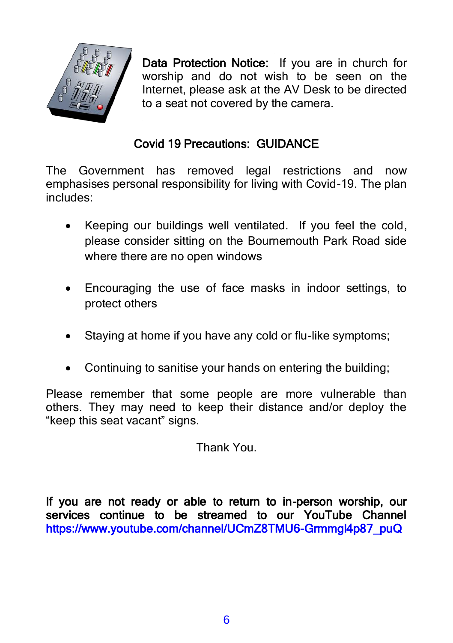

Data Protection Notice: If you are in church for worship and do not wish to be seen on the Internet, please ask at the AV Desk to be directed to a seat not covered by the camera.

#### Covid 19 Precautions: GUIDANCE

The Government has removed legal restrictions and now emphasises personal responsibility for living with Covid-19. The plan includes:

- Keeping our buildings well ventilated. If you feel the cold, please consider sitting on the Bournemouth Park Road side where there are no open windows
- Encouraging the use of face masks in indoor settings, to protect others
- Staying at home if you have any cold or flu-like symptoms;
- Continuing to sanitise your hands on entering the building;

Please remember that some people are more vulnerable than others. They may need to keep their distance and/or deploy the "keep this seat vacant" signs.

Thank You.

If you are not ready or able to return to in-person worship, our services continue to be streamed to our YouTube Channel https://www.youtube.com/channel/UCmZ8TMU6-Grmmgl4p87\_puQ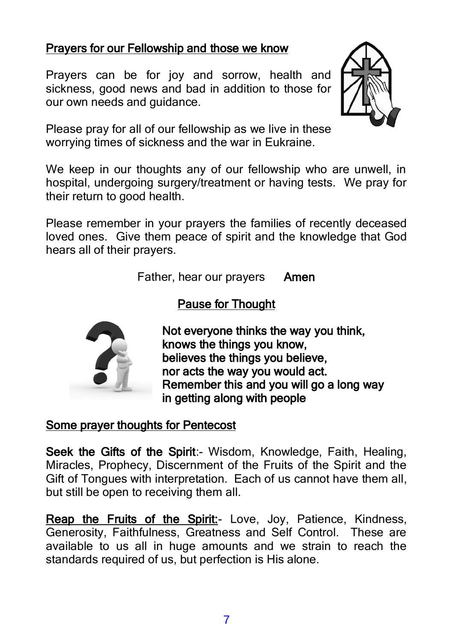#### Prayers for our Fellowship and those we know

Prayers can be for joy and sorrow, health and sickness, good news and bad in addition to those for our own needs and guidance.



Please pray for all of our fellowship as we live in these worrying times of sickness and the war in Eukraine.

We keep in our thoughts any of our fellowship who are unwell, in hospital, undergoing surgery/treatment or having tests. We pray for their return to good health.

Please remember in your prayers the families of recently deceased loved ones. Give them peace of spirit and the knowledge that God hears all of their prayers.

Father, hear our prayers Amen

#### Pause for Thought



Not everyone thinks the way you think, knows the things you know, believes the things you believe. nor acts the way you would act. Remember this and you will go a long way in getting along with people

#### Some prayer thoughts for Pentecost

Seek the Gifts of the Spirit:- Wisdom, Knowledge, Faith, Healing, Miracles, Prophecy, Discernment of the Fruits of the Spirit and the Gift of Tongues with interpretation. Each of us cannot have them all, but still be open to receiving them all.

Reap the Fruits of the Spirit:- Love, Joy, Patience, Kindness, Generosity, Faithfulness, Greatness and Self Control. These are available to us all in huge amounts and we strain to reach the standards required of us, but perfection is His alone.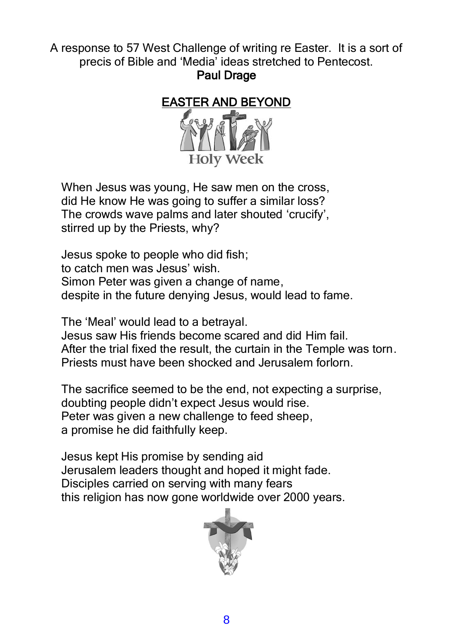A response to 57 West Challenge of writing re Easter. It is a sort of precis of Bible and 'Media' ideas stretched to Pentecost.

Paul Drage



When Jesus was young, He saw men on the cross, did He know He was going to suffer a similar loss? The crowds wave palms and later shouted 'crucify', stirred up by the Priests, why?

Jesus spoke to people who did fish; to catch men was Jesus' wish. Simon Peter was given a change of name. despite in the future denying Jesus, would lead to fame.

The 'Meal' would lead to a betrayal. Jesus saw His friends become scared and did Him fail. After the trial fixed the result, the curtain in the Temple was torn. Priests must have been shocked and Jerusalem forlorn.

The sacrifice seemed to be the end, not expecting a surprise, doubting people didn't expect Jesus would rise. Peter was given a new challenge to feed sheep, a promise he did faithfully keep.

Jesus kept His promise by sending aid Jerusalem leaders thought and hoped it might fade. Disciples carried on serving with many fears this religion has now gone worldwide over 2000 years.

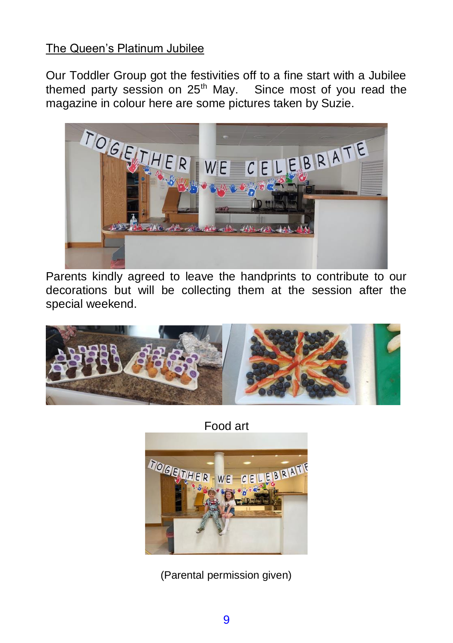#### The Queen's Platinum Jubilee

Our Toddler Group got the festivities off to a fine start with a Jubilee themed party session on  $25<sup>th</sup>$  May. Since most of you read the magazine in colour here are some pictures taken by Suzie.



Parents kindly agreed to leave the handprints to contribute to our decorations but will be collecting them at the session after the special weekend.



Food art



(Parental permission given)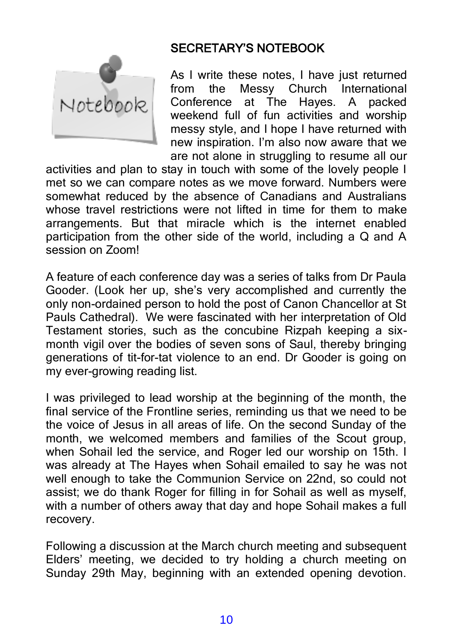

#### SECRETARY'S NOTEBOOK

As I write these notes, I have just returned from the Messy Church International Conference at The Hayes. A packed weekend full of fun activities and worship messy style, and I hope I have returned with new inspiration. I'm also now aware that we are not alone in struggling to resume all our

activities and plan to stay in touch with some of the lovely people I met so we can compare notes as we move forward. Numbers were somewhat reduced by the absence of Canadians and Australians whose travel restrictions were not lifted in time for them to make arrangements. But that miracle which is the internet enabled participation from the other side of the world, including a Q and A session on Zoom!

A feature of each conference day was a series of talks from Dr Paula Gooder. (Look her up, she's very accomplished and currently the only non-ordained person to hold the post of Canon Chancellor at St Pauls Cathedral). We were fascinated with her interpretation of Old Testament stories, such as the concubine Rizpah keeping a sixmonth vigil over the bodies of seven sons of Saul, thereby bringing generations of tit-for-tat violence to an end. Dr Gooder is going on my ever-growing reading list.

I was privileged to lead worship at the beginning of the month, the final service of the Frontline series, reminding us that we need to be the voice of Jesus in all areas of life. On the second Sunday of the month, we welcomed members and families of the Scout group, when Sohail led the service, and Roger led our worship on 15th. I was already at The Hayes when Sohail emailed to say he was not well enough to take the Communion Service on 22nd, so could not assist; we do thank Roger for filling in for Sohail as well as myself, with a number of others away that day and hope Sohail makes a full recovery.

Following a discussion at the March church meeting and subsequent Elders' meeting, we decided to try holding a church meeting on Sunday 29th May, beginning with an extended opening devotion.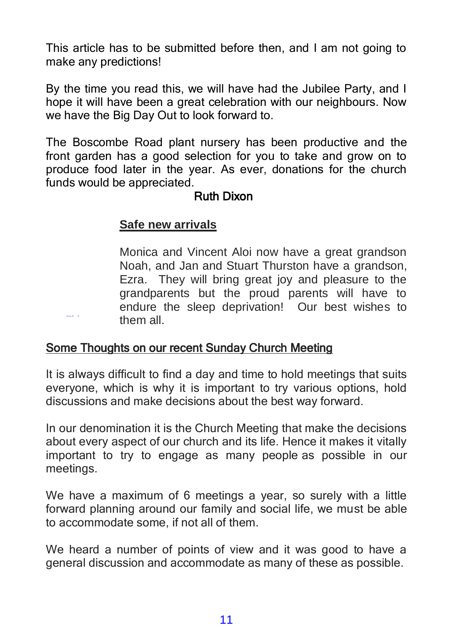This article has to be submitted before then, and I am not going to make any predictions!

By the time you read this, we will have had the Jubilee Party, and I hope it will have been a great celebration with our neighbours. Now we have the Big Day Out to look forward to.

The Boscombe Road plant nursery has been productive and the front garden has a good selection for you to take and grow on to produce food later in the year. As ever, donations for the church funds would be appreciated.

#### Ruth Dixon

#### **Safe new arrivals**

[This](https://pngimg.com/download/23908) 

Monica and Vincent Aloi now have a great grandson Noah, and Jan and Stuart Thurston have a grandson, Ezra. They will bring great joy and pleasure to the grandparents but the proud parents will have to endure the sleep deprivation! Our best wishes to them all.

#### Some Thoughts on our recent Sunday Church Meeting

It is always difficult to find a day and time to hold meetings that suits everyone, which is why it is important to try various options, hold discussions and make decisions about the best way forward.

In [our deno](https://creativecommons.org/licenses/by-nc/3.0/)mination it is the Church Meeting that make the decisions about every aspect of our church and its life. Hence it makes it vitally important to try to engage as many people as possible in our meetings.

We have a maximum of 6 meetings a year, so surely with a little forward planning around our family and social life, we must be able to accommodate some, if not all of them.

We heard a number of points of view and it was good to have a general discussion and accommodate as many of these as possible.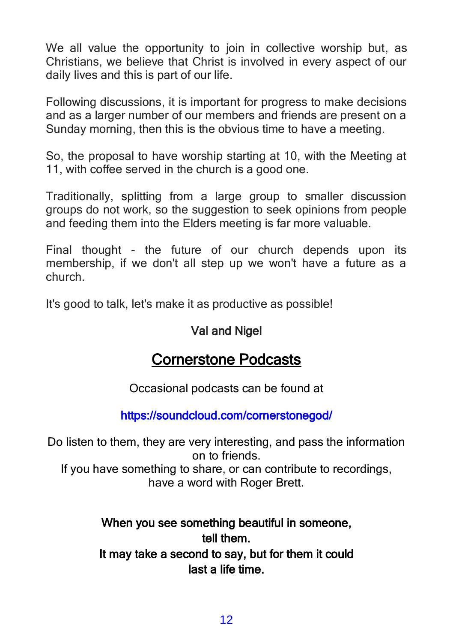We all value the opportunity to join in collective worship but, as Christians, we believe that Christ is involved in every aspect of our daily lives and this is part of our life.

Following discussions, it is important for progress to make decisions and as a larger number of our members and friends are present on a Sunday morning, then this is the obvious time to have a meeting.

So, the proposal to have worship starting at 10, with the Meeting at 11, with coffee served in the church is a good one.

Traditionally, splitting from a large group to smaller discussion groups do not work, so the suggestion to seek opinions from people and feeding them into the Elders meeting is far more valuable.

Final thought - the future of our church depends upon its membership, if we don't all step up we won't have a future as a church.

It's good to talk, let's make it as productive as possible!

#### Val and Nigel

## Cornerstone Podcasts

Occasional podcasts can be found at

#### https://soundcloud.com/cornerstonegod/

Do listen to them, they are very interesting, and pass the information on to friends. If you have something to share, or can contribute to recordings, have a word with Roger Brett.

#### When you see something beautiful in someone. tell them. It may take a second to say, but for them it could last a life time.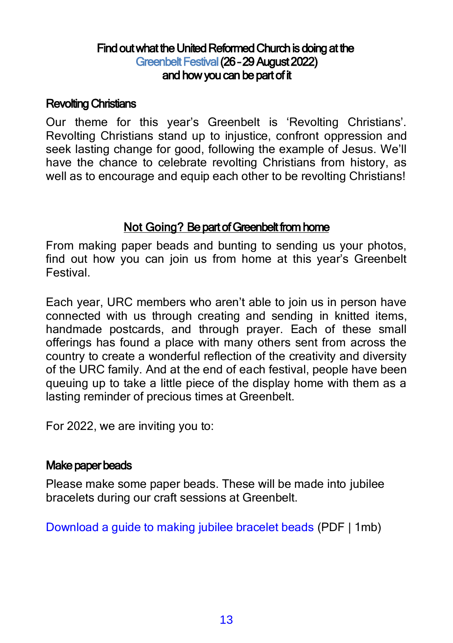#### Find out what the United Reformed Church is doing at the Greenbelt Festival (26 – 29 August 2022) and how you can be part of it

#### Revolting Christians

Our theme for this year's Greenbelt is 'Revolting Christians'. Revolting Christians stand up to injustice, confront oppression and seek lasting change for good, following the example of Jesus. We'll have the chance to celebrate revolting Christians from history, as well as to encourage and equip each other to be revolting Christians!

#### Not Going? Be part of Greenbelt from home

From making paper beads and bunting to sending us your photos, find out how you can join us from home at this year's Greenbelt Festival.

Each year, URC members who aren't able to join us in person have connected with us through creating and sending in knitted items, handmade postcards, and through prayer. Each of these small offerings has found a place with many others sent from across the country to create a wonderful reflection of the creativity and diversity of the URC family. And at the end of each festival, people have been queuing up to take a little piece of the display home with them as a lasting reminder of precious times at Greenbelt.

For 2022, we are inviting you to:

#### Make paper beads

Please make some paper beads. These will be made into jubilee bracelets during our craft sessions at Greenbelt.

Download a guide to making jubilee bracelet beads (PDF | 1mb)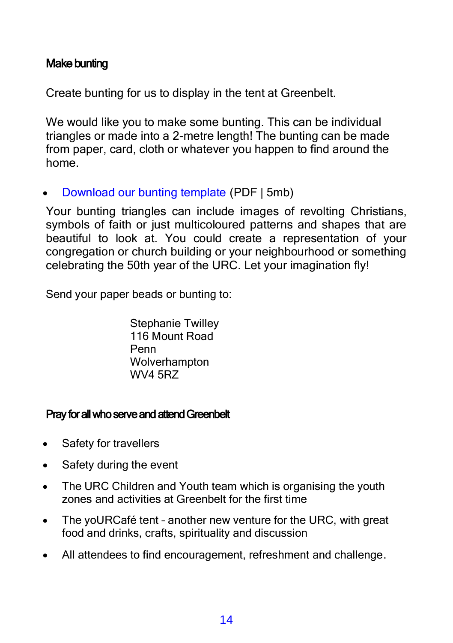#### Make bunting

Create bunting for us to display in the tent at Greenbelt.

We would like you to make some bunting. This can be individual triangles or made into a 2-metre length! The bunting can be made from paper, card, cloth or whatever you happen to find around the home.

• Download our bunting template (PDF | 5mb)

Your bunting triangles can include images of revolting Christians, symbols of faith or just multicoloured patterns and shapes that are beautiful to look at. You could create a representation of your congregation or church building or your neighbourhood or something celebrating the 50th year of the URC. Let your imagination fly!

Send your paper beads or bunting to:

Stephanie Twilley 116 Mount Road Penn **Wolverhampton** WV4 5RZ

#### Pray for all who serve and attend Greenbelt

- Safety for travellers
- Safety during the event
- The URC Children and Youth team which is organising the youth zones and activities at Greenbelt for the first time
- The yoURCafé tent another new venture for the URC, with great food and drinks, crafts, spirituality and discussion
- All attendees to find encouragement, refreshment and challenge.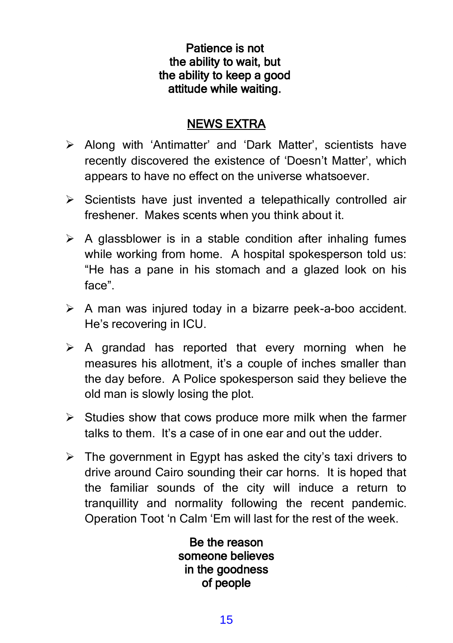#### Patience is not the ability to wait, but the ability to keep a good attitude while waiting.

#### NEWS EXTRA

- ➢ Along with 'Antimatter' and 'Dark Matter', scientists have recently discovered the existence of 'Doesn't Matter', which appears to have no effect on the universe whatsoever.
- ➢ Scientists have just invented a telepathically controlled air freshener. Makes scents when you think about it.
- $\triangleright$  A glassblower is in a stable condition after inhaling fumes while working from home. A hospital spokesperson told us: "He has a pane in his stomach and a glazed look on his face".
- ➢ A man was injured today in a bizarre peek-a-boo accident. He's recovering in ICU.
- $\triangleright$  A grandad has reported that every morning when he measures his allotment, it's a couple of inches smaller than the day before. A Police spokesperson said they believe the old man is slowly losing the plot.
- $\triangleright$  Studies show that cows produce more milk when the farmer talks to them. It's a case of in one ear and out the udder.
- $\triangleright$  The government in Egypt has asked the city's taxi drivers to drive around Cairo sounding their car horns. It is hoped that the familiar sounds of the city will induce a return to tranquillity and normality following the recent pandemic. Operation Toot 'n Calm 'Em will last for the rest of the week.

Be the reason someone believes in the goodness of people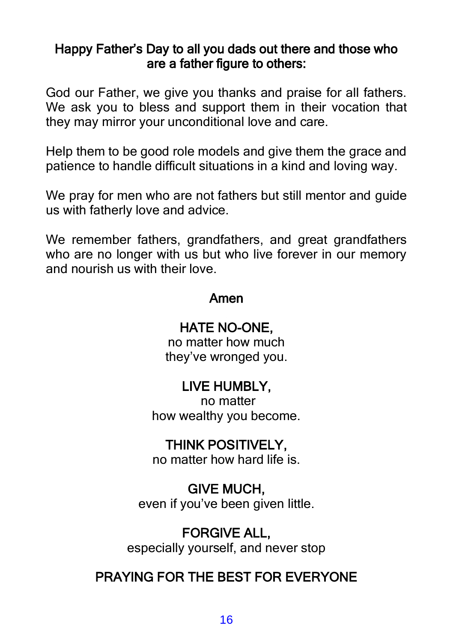#### Happy Father's Day to all you dads out there and those who are a father figure to others:

God our Father, we give you thanks and praise for all fathers. We ask you to bless and support them in their vocation that they may mirror your unconditional love and care.

Help them to be good role models and give them the grace and patience to handle difficult situations in a kind and loving way.

We pray for men who are not fathers but still mentor and guide us with fatherly love and advice.

We remember fathers, grandfathers, and great grandfathers who are no longer with us but who live forever in our memory and nourish us with their love.

#### Amen

#### HATE NO-ONE,

no matter how much they've wronged you.

## LIVE HUMBLY,

no matter how wealthy you become.

### THINK POSITIVELY,

no matter how hard life is.

### GIVE MUCH,

even if you've been given little.

## FORGIVE ALL,

especially yourself, and never stop

## PRAYING FOR THE BEST FOR EVERYONE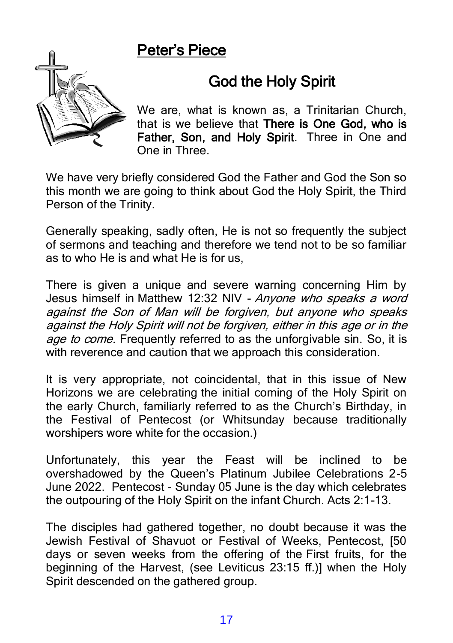## Peter's Piece



## God the Holy Spirit

We are, what is known as, a Trinitarian Church, that is we believe that There is One God, who is Father, Son, and Holy Spirit. Three in One and One in Three.

We have very briefly considered God the Father and God the Son so this month we are going to think about God the Holy Spirit, the Third Person of the Trinity.

Generally speaking, sadly often, He is not so frequently the subject of sermons and teaching and therefore we tend not to be so familiar as to who He is and what He is for us,

There is given a unique and severe warning concerning Him by Jesus himself in Matthew 12:32 NIV - Anyone who speaks a word against the Son of Man will be forgiven, but anyone who speaks against the Holy Spirit will not be forgiven, either in this age or in the age to come. Frequently referred to as the unforgivable sin. So, it is with reverence and caution that we approach this consideration.

It is very appropriate, not coincidental, that in this issue of New Horizons we are celebrating the initial coming of the Holy Spirit on the early Church, familiarly referred to as the Church's Birthday, in the Festival of Pentecost (or Whitsunday because traditionally worshipers wore white for the occasion.)

Unfortunately, this year the Feast will be inclined to be overshadowed by the Queen's Platinum Jubilee Celebrations 2-5 June 2022. Pentecost - Sunday 05 June is the day which celebrates the outpouring of the Holy Spirit on the infant Church. Acts 2:1-13.

The disciples had gathered together, no doubt because it was the Jewish Festival of Shavuot or Festival of Weeks, Pentecost, [50 days or seven weeks from the offering of the First fruits, for the beginning of the Harvest, (see Leviticus 23:15 ff.)] when the Holy Spirit descended on the gathered group.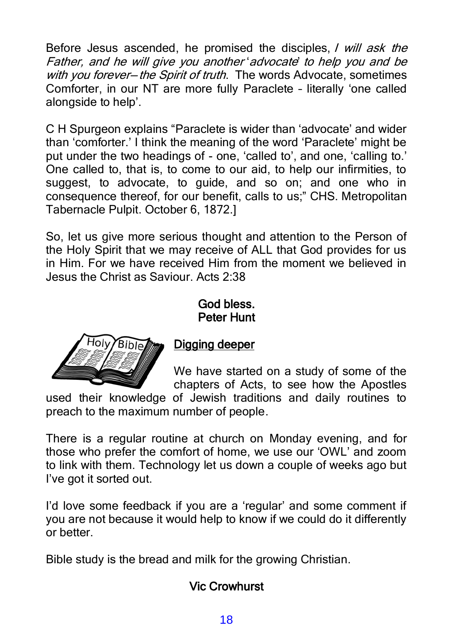Before Jesus ascended, he promised the disciples, *I will ask the* Father, and he will give you another 'advocate' to help you and be with you forever-the Spirit of truth. The words Advocate, sometimes Comforter, in our NT are more fully Paraclete – literally 'one called alongside to help'.

C H Spurgeon explains "Paraclete is wider than 'advocate' and wider than 'comforter.' I think the meaning of the word 'Paraclete' might be put under the two headings of - one, 'called to', and one, 'calling to.' One called to, that is, to come to our aid, to help our infirmities, to suggest, to advocate, to guide, and so on; and one who in consequence thereof, for our benefit, calls to us;" CHS. Metropolitan Tabernacle Pulpit. October 6, 1872.]

So, let us give more serious thought and attention to the Person of the Holy Spirit that we may receive of ALL that God provides for us in Him. For we have received Him from the moment we believed in Jesus the Christ as Saviour. Acts 2:38

God bless.

# Peter Hunt



#### Digging deeper

We have started on a study of some of the chapters of Acts, to see how the Apostles

used their knowledge of Jewish traditions and daily routines to preach to the maximum number of people.

There is a regular routine at church on Monday evening, and for those who prefer the comfort of home, we use our 'OWL' and zoom to link with them. Technology let us down a couple of weeks ago but I've got it sorted out.

I'd love some feedback if you are a 'regular' and some comment if you are not because it would help to know if we could do it differently or better.

Bible study is the bread and milk for the growing Christian.

#### Vic Crowhurst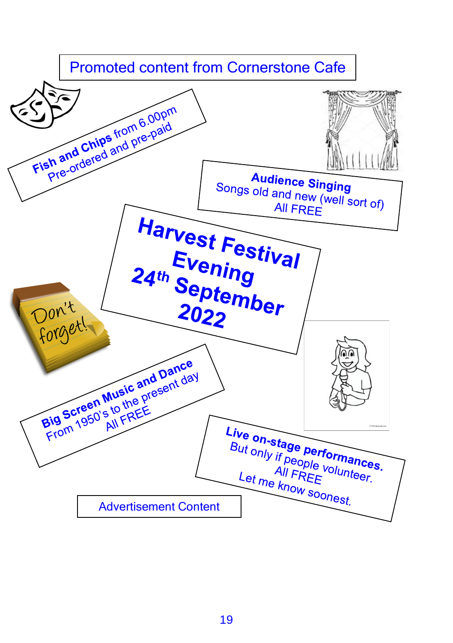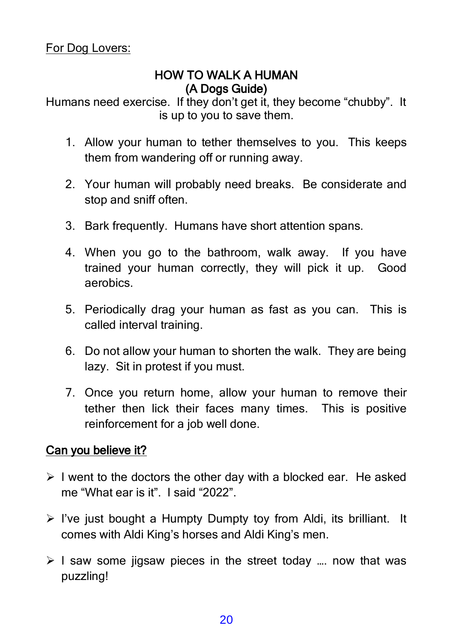#### HOW TO WALK A HUMAN (A Dogs Guide)

Humans need exercise. If they don't get it, they become "chubby". It is up to you to save them.

- 1. Allow your human to tether themselves to you. This keeps them from wandering off or running away.
- 2. Your human will probably need breaks. Be considerate and stop and sniff often.
- 3. Bark frequently. Humans have short attention spans.
- 4. When you go to the bathroom, walk away. If you have trained your human correctly, they will pick it up. Good aerobics.
- 5. Periodically drag your human as fast as you can. This is called interval training.
- 6. Do not allow your human to shorten the walk. They are being lazy. Sit in protest if you must.
- 7. Once you return home, allow your human to remove their tether then lick their faces many times. This is positive reinforcement for a job well done.

#### Can you believe it?

- $\triangleright$  I went to the doctors the other day with a blocked ear. He asked me "What ear is it". I said "2022".
- $\triangleright$  I've just bought a Humpty Dumpty toy from Aldi, its brilliant. It comes with Aldi King's horses and Aldi King's men.
- $\geq 1$  saw some jigsaw pieces in the street today ... now that was puzzling!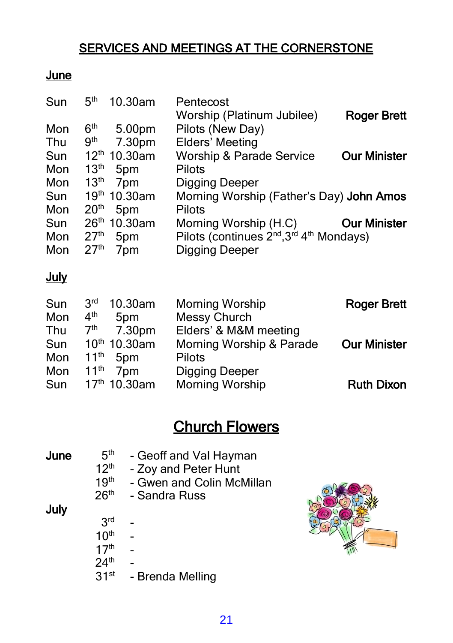### SERVICES AND MEETINGS AT THE CORNERSTONE

#### June

| Sun | 5 <sup>th</sup><br>10.30am | Pentecost                                                                    |                     |
|-----|----------------------------|------------------------------------------------------------------------------|---------------------|
|     |                            | Worship (Platinum Jubilee)                                                   | Roger Brett         |
| Mon | 6 <sup>th</sup><br>5.00pm  | Pilots (New Day)                                                             |                     |
| Thu | 9 <sup>th</sup><br>7.30pm  | <b>Elders' Meeting</b>                                                       |                     |
| Sun | $12th 10.30$ am            | <b>Worship &amp; Parade Service</b>                                          | <b>Our Minister</b> |
| Mon | 13 <sup>th</sup><br>5pm    | Pilots                                                                       |                     |
| Mon | 13 <sup>th</sup><br>7pm    | Digging Deeper                                                               |                     |
| Sun | 19th 10.30am               | Morning Worship (Father's Day) John Amos                                     |                     |
| Mon | 20 <sup>th</sup><br>5pm    | Pilots                                                                       |                     |
| Sun | 26th 10.30am               | Morning Worship (H.C)                                                        | <b>Our Minister</b> |
| Mon | 27 <sup>th</sup><br>5pm    | Pilots (continues 2 <sup>nd</sup> , 3 <sup>rd</sup> 4 <sup>th</sup> Mondays) |                     |
| Mon | 27 <sup>th</sup><br>7pm    | Digging Deeper                                                               |                     |
|     |                            |                                                                              |                     |

#### July

| Sun | 3 <sup>rd</sup><br>10.30am          | <b>Morning Worship</b>   | <b>Roger Brett</b>  |
|-----|-------------------------------------|--------------------------|---------------------|
| Mon | 4 <sup>th</sup><br>5pm              | Messy Church             |                     |
| Thu | 7 <sup>th</sup><br>7.30pm           | Elders' & M&M meeting    |                     |
| Sun | $10^{th}$ 10.30am                   | Morning Worship & Parade | <b>Our Minister</b> |
| Mon | 11 <sup>th</sup><br>5 <sub>pm</sub> | Pilots                   |                     |
| Mon | $11^{\text{th}}$<br>7pm             | <b>Digging Deeper</b>    |                     |
| Sun | 17 <sup>th</sup> 10.30am            | <b>Morning Worship</b>   | <b>Ruth Dixon</b>   |

## Church Flowers

| June | 5 <sup>th</sup><br>12 <sup>th</sup> | - Geoff and Val Hayman<br>- Zoy and Peter Hunt |
|------|-------------------------------------|------------------------------------------------|
|      | 19 <sup>th</sup>                    | - Gwen and Colin McMillan                      |
|      | 26 <sup>th</sup>                    | - Sandra Russ                                  |
| July |                                     |                                                |
|      | 3 <sup>rd</sup>                     |                                                |
|      | 10 <sup>th</sup>                    |                                                |
|      | 17 <sup>th</sup>                    |                                                |
|      | 24 <sup>th</sup>                    |                                                |
|      | 31 <sup>st</sup>                    | - Brenda Melling                               |

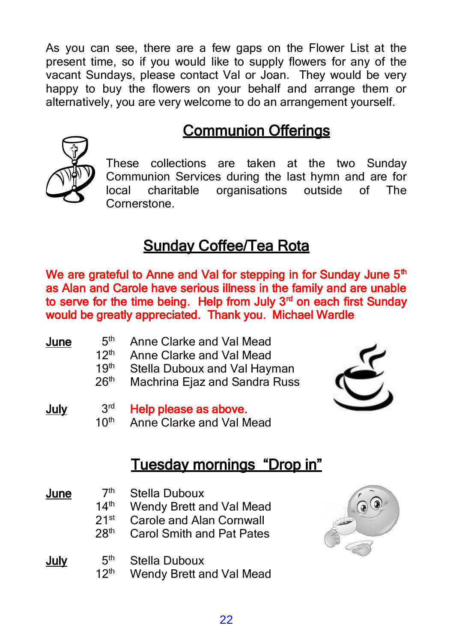As you can see, there are a few gaps on the Flower List at the present time, so if you would like to supply flowers for any of the vacant Sundays, please contact Val or Joan. They would be very happy to buy the flowers on your behalf and arrange them or alternatively, you are very welcome to do an arrangement yourself.

## Communion Offerings



These collections are taken at the two Sunday Communion Services during the last hymn and are for local charitable organisations outside of The **Cornerstone** 

## Sunday Coffee/Tea Rota

We are grateful to Anne and Val for stepping in for Sunday June 5<sup>th</sup> as Alan and Carole have serious illness in the family and are unable to serve for the time being. Help from July 3<sup>rd</sup> on each first Sunday would be greatly appreciated. Thank you. Michael Wardle

| June        | 5 <sup>th</sup><br>12 <sup>th</sup><br>19 <sup>th</sup><br>26 <sup>th</sup> | Anne Clarke and Val Mead<br>Anne Clarke and Val Mead<br>Stella Duboux and Val Hayman<br>Machrina Ejaz and Sandra Russ |  |
|-------------|-----------------------------------------------------------------------------|-----------------------------------------------------------------------------------------------------------------------|--|
| <b>July</b> | 3 <sup>rd</sup><br>10 <sup>th</sup>                                         | Help please as above.<br>Anne Clarke and Val Mead<br>Tuesday mornings "Drop in"                                       |  |
| June        | 7 <sup>th</sup><br>14 <sup>th</sup><br>21 <sup>st</sup><br>28 <sup>th</sup> | Stella Duboux<br>Wendy Brett and Val Mead<br><b>Carole and Alan Cornwall</b><br><b>Carol Smith and Pat Pates</b>      |  |

#### July 5<sup>th</sup> Stella Duboux  $12<sup>th</sup>$ Wendy Brett and Val Mead



22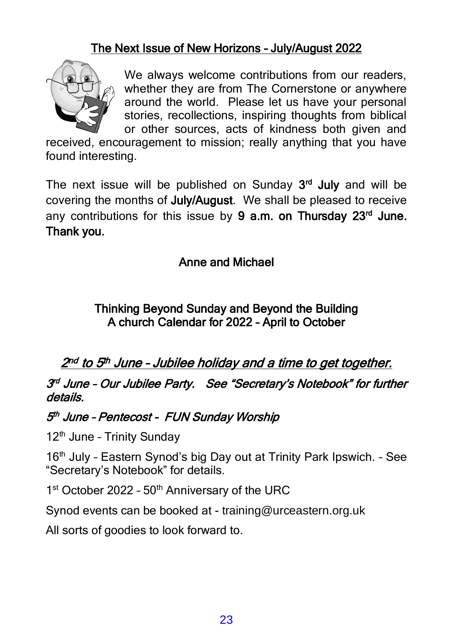#### The Next Issue of New Horizons – July/August 2022



We always welcome contributions from our readers, whether they are from The Cornerstone or anywhere around the world. Please let us have your personal stories, recollections, inspiring thoughts from biblical or other sources, acts of kindness both given and

received, encouragement to mission; really anything that you have found interesting.

The next issue will be published on Sunday 3<sup>rd</sup> July and will be covering the months of July/August. We shall be pleased to receive any contributions for this issue by 9 a.m. on Thursday 23<sup>rd</sup> June. Thank you.

#### Anne and Michael

#### Thinking Beyond Sunday and Beyond the Building A church Calendar for 2022 – April to October

2<sup>nd</sup> to 5<sup>th</sup> June - Jubilee holiday and a time to get together.

3<sup>rd</sup> June - Our Jubilee Party. See "Secretary's Notebook" for further details.

#### 5<sup>th</sup> June - Pentecost - FUN Sunday Worship

12<sup>th</sup> June - Trinity Sunday

16<sup>th</sup> July - Eastern Synod's big Day out at Trinity Park Ipswich. - See "Secretary's Notebook" for details.

1<sup>st</sup> October 2022 - 50<sup>th</sup> Anniversary of the URC

Synod events can be booked at - training@urceastern.org.uk

All sorts of goodies to look forward to.